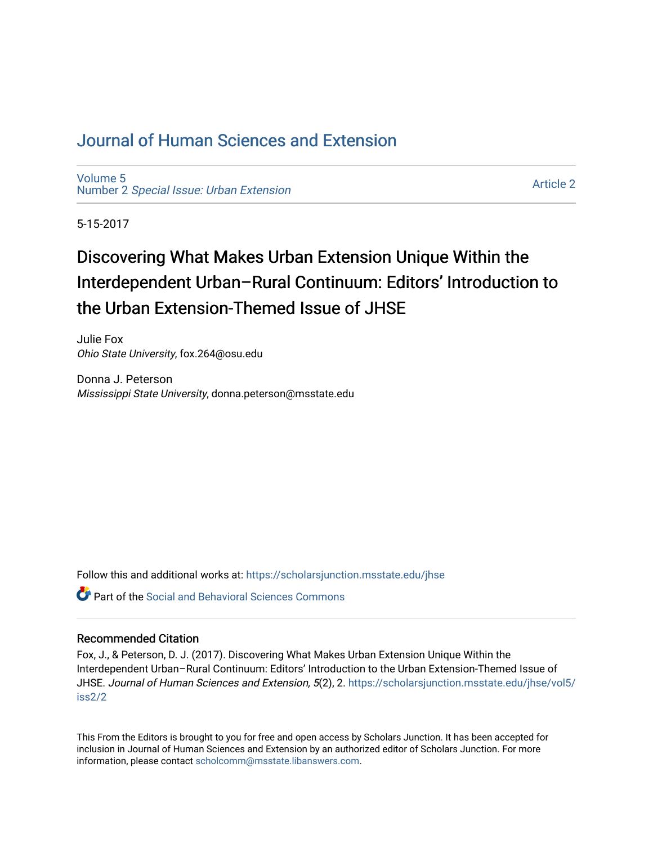## [Journal of Human Sciences and Extension](https://scholarsjunction.msstate.edu/jhse)

[Volume 5](https://scholarsjunction.msstate.edu/jhse/vol5) Number 2 [Special Issue: Urban Extension](https://scholarsjunction.msstate.edu/jhse/vol5/iss2) 

[Article 2](https://scholarsjunction.msstate.edu/jhse/vol5/iss2/2) 

5-15-2017

# Discovering What Makes Urban Extension Unique Within the Interdependent Urban–Rural Continuum: Editors' Introduction to the Urban Extension-Themed Issue of JHSE

Julie Fox Ohio State University, fox.264@osu.edu

Donna J. Peterson Mississippi State University, donna.peterson@msstate.edu

Follow this and additional works at: [https://scholarsjunction.msstate.edu/jhse](https://scholarsjunction.msstate.edu/jhse?utm_source=scholarsjunction.msstate.edu%2Fjhse%2Fvol5%2Fiss2%2F2&utm_medium=PDF&utm_campaign=PDFCoverPages)

**Part of the Social and Behavioral Sciences Commons** 

#### Recommended Citation

Fox, J., & Peterson, D. J. (2017). Discovering What Makes Urban Extension Unique Within the Interdependent Urban–Rural Continuum: Editors' Introduction to the Urban Extension-Themed Issue of JHSE. Journal of Human Sciences and Extension, 5(2), 2. [https://scholarsjunction.msstate.edu/jhse/vol5/](https://scholarsjunction.msstate.edu/jhse/vol5/iss2/2?utm_source=scholarsjunction.msstate.edu%2Fjhse%2Fvol5%2Fiss2%2F2&utm_medium=PDF&utm_campaign=PDFCoverPages) [iss2/2](https://scholarsjunction.msstate.edu/jhse/vol5/iss2/2?utm_source=scholarsjunction.msstate.edu%2Fjhse%2Fvol5%2Fiss2%2F2&utm_medium=PDF&utm_campaign=PDFCoverPages)

This From the Editors is brought to you for free and open access by Scholars Junction. It has been accepted for inclusion in Journal of Human Sciences and Extension by an authorized editor of Scholars Junction. For more information, please contact [scholcomm@msstate.libanswers.com](mailto:scholcomm@msstate.libanswers.com).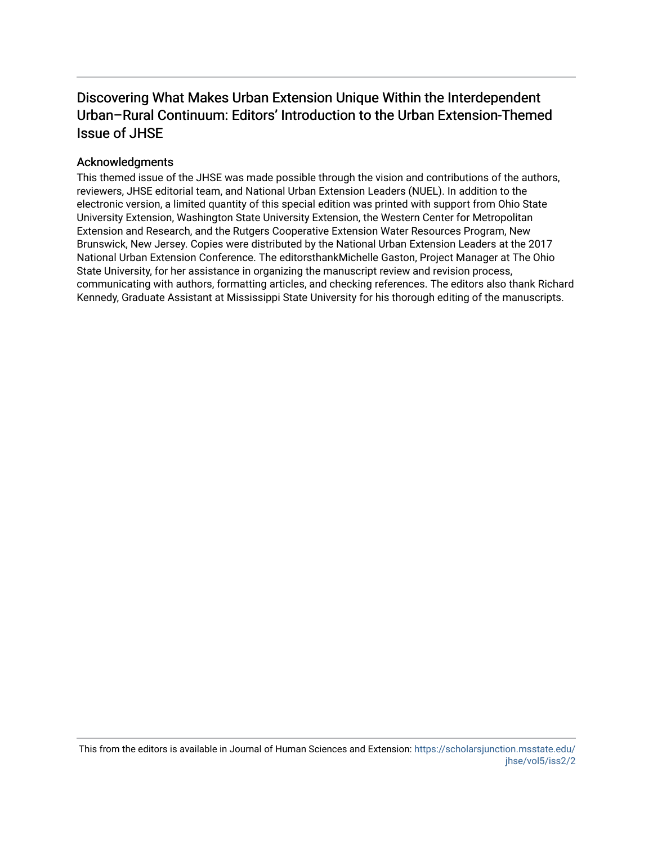## Discovering What Makes Urban Extension Unique Within the Interdependent Urban–Rural Continuum: Editors' Introduction to the Urban Extension-Themed Issue of JHSE

### Acknowledgments

This themed issue of the JHSE was made possible through the vision and contributions of the authors, reviewers, JHSE editorial team, and National Urban Extension Leaders (NUEL). In addition to the electronic version, a limited quantity of this special edition was printed with support from Ohio State University Extension, Washington State University Extension, the Western Center for Metropolitan Extension and Research, and the Rutgers Cooperative Extension Water Resources Program, New Brunswick, New Jersey. Copies were distributed by the National Urban Extension Leaders at the 2017 National Urban Extension Conference. The editorsthankMichelle Gaston, Project Manager at The Ohio State University, for her assistance in organizing the manuscript review and revision process, communicating with authors, formatting articles, and checking references. The editors also thank Richard Kennedy, Graduate Assistant at Mississippi State University for his thorough editing of the manuscripts.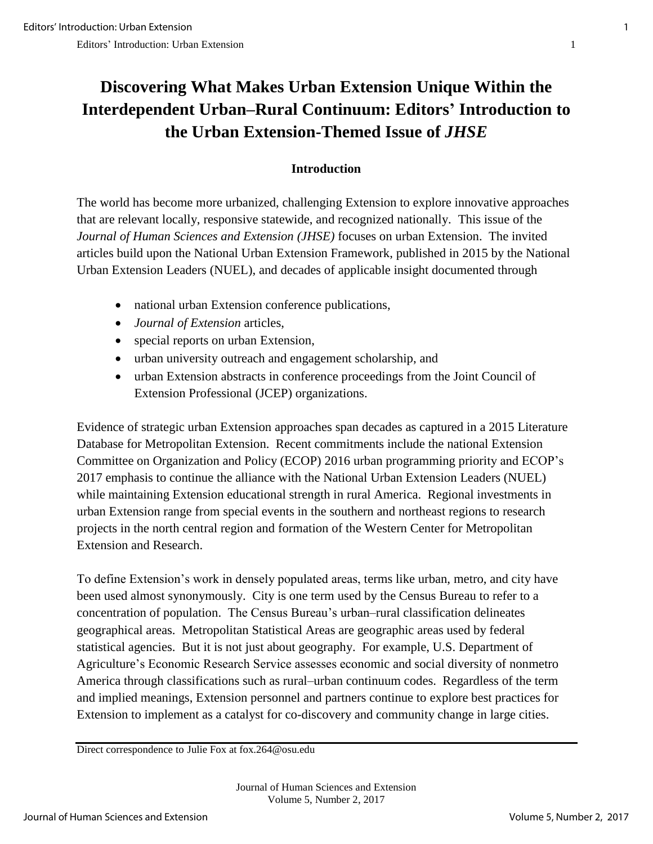## **Discovering What Makes Urban Extension Unique Within the Interdependent Urban–Rural Continuum: Editors' Introduction to the Urban Extension-Themed Issue of** *JHSE*

## **Introduction**

The world has become more urbanized, challenging Extension to explore innovative approaches that are relevant locally, responsive statewide, and recognized nationally. This issue of the *Journal of Human Sciences and Extension (JHSE)* focuses on urban Extension. The invited articles build upon the National Urban Extension Framework, published in 2015 by the National Urban Extension Leaders (NUEL), and decades of applicable insight documented through

- national urban Extension conference publications,
- *Journal of Extension* articles,
- special reports on urban Extension,
- urban university outreach and engagement scholarship, and
- urban Extension abstracts in conference proceedings from the Joint Council of Extension Professional (JCEP) organizations.

Evidence of strategic urban Extension approaches span decades as captured in a 2015 Literature Database for Metropolitan Extension. Recent commitments include the national Extension Committee on Organization and Policy (ECOP) 2016 urban programming priority and ECOP's 2017 emphasis to continue the alliance with the National Urban Extension Leaders (NUEL) while maintaining Extension educational strength in rural America. Regional investments in urban Extension range from special events in the southern and northeast regions to research projects in the north central region and formation of the Western Center for Metropolitan Extension and Research.

To define Extension's work in densely populated areas, terms like urban, metro, and city have been used almost synonymously. City is one term used by the Census Bureau to refer to a concentration of population. The Census Bureau's urban–rural classification delineates geographical areas. Metropolitan Statistical Areas are geographic areas used by federal statistical agencies. But it is not just about geography. For example, U.S. Department of Agriculture's Economic Research Service assesses economic and social diversity of nonmetro America through classifications such as rural–urban continuum codes. Regardless of the term and implied meanings, Extension personnel and partners continue to explore best practices for Extension to implement as a catalyst for co-discovery and community change in large cities.

Direct correspondence to Julie Fox at fox.264@osu.edu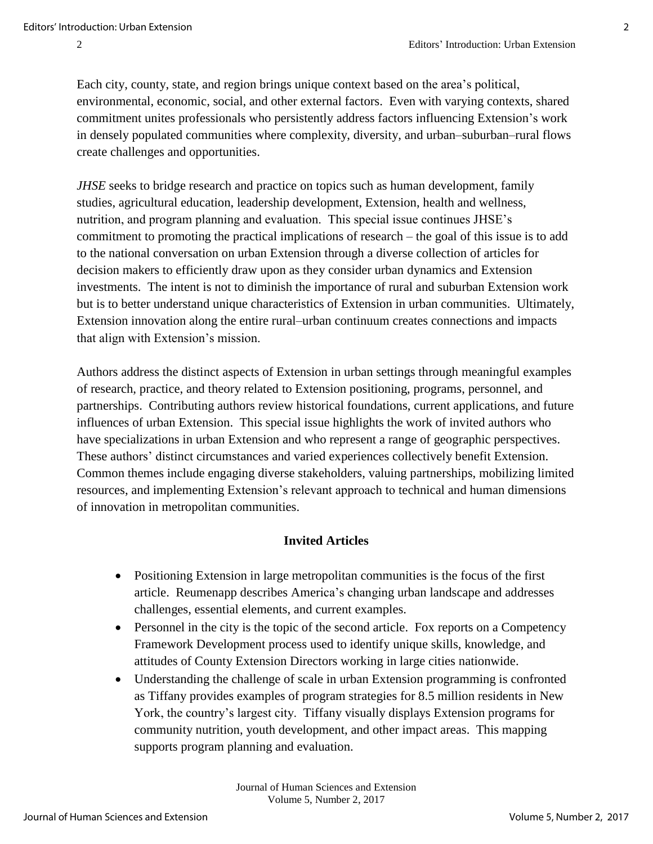Each city, county, state, and region brings unique context based on the area's political, environmental, economic, social, and other external factors. Even with varying contexts, shared commitment unites professionals who persistently address factors influencing Extension's work in densely populated communities where complexity, diversity, and urban–suburban–rural flows create challenges and opportunities.

*JHSE* seeks to bridge research and practice on topics such as human development, family studies, agricultural education, leadership development, Extension, health and wellness, nutrition, and program planning and evaluation. This special issue continues JHSE's commitment to promoting the practical implications of research – the goal of this issue is to add to the national conversation on urban Extension through a diverse collection of articles for decision makers to efficiently draw upon as they consider urban dynamics and Extension investments. The intent is not to diminish the importance of rural and suburban Extension work but is to better understand unique characteristics of Extension in urban communities. Ultimately, Extension innovation along the entire rural–urban continuum creates connections and impacts that align with Extension's mission.

Authors address the distinct aspects of Extension in urban settings through meaningful examples of research, practice, and theory related to Extension positioning, programs, personnel, and partnerships. Contributing authors review historical foundations, current applications, and future influences of urban Extension. This special issue highlights the work of invited authors who have specializations in urban Extension and who represent a range of geographic perspectives. These authors' distinct circumstances and varied experiences collectively benefit Extension. Common themes include engaging diverse stakeholders, valuing partnerships, mobilizing limited resources, and implementing Extension's relevant approach to technical and human dimensions of innovation in metropolitan communities.

## **Invited Articles**

- Positioning Extension in large metropolitan communities is the focus of the first article. Reumenapp describes America's changing urban landscape and addresses challenges, essential elements, and current examples.
- Personnel in the city is the topic of the second article. Fox reports on a Competency Framework Development process used to identify unique skills, knowledge, and attitudes of County Extension Directors working in large cities nationwide.
- Understanding the challenge of scale in urban Extension programming is confronted as Tiffany provides examples of program strategies for 8.5 million residents in New York, the country's largest city. Tiffany visually displays Extension programs for community nutrition, youth development, and other impact areas. This mapping supports program planning and evaluation.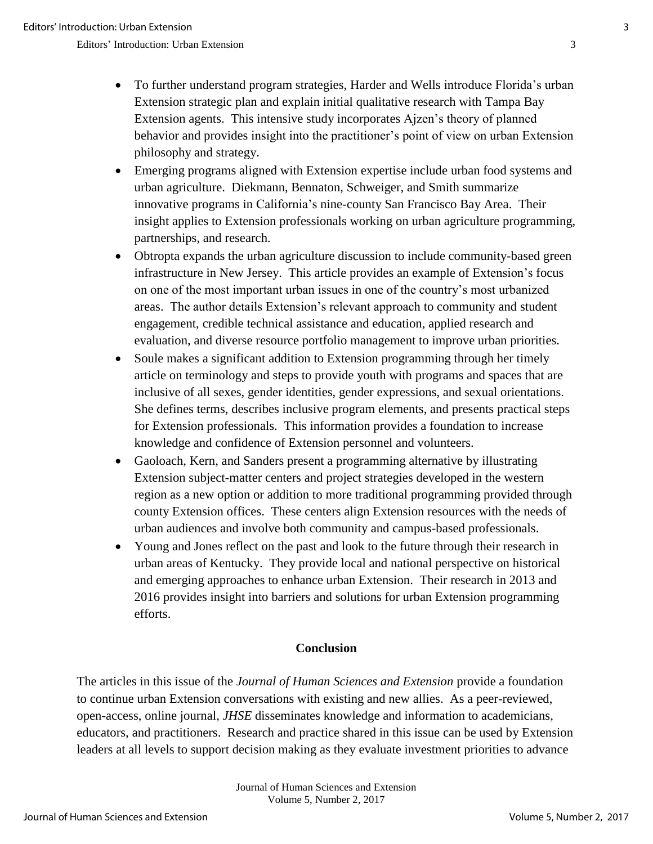Editors' Introduction: Urban Extension 3

- To further understand program strategies, Harder and Wells introduce Florida's urban Extension strategic plan and explain initial qualitative research with Tampa Bay Extension agents. This intensive study incorporates Ajzen's theory of planned behavior and provides insight into the practitioner's point of view on urban Extension philosophy and strategy.
- Emerging programs aligned with Extension expertise include urban food systems and urban agriculture. Diekmann, Bennaton, Schweiger, and Smith summarize innovative programs in California's nine-county San Francisco Bay Area. Their insight applies to Extension professionals working on urban agriculture programming, partnerships, and research.
- Obtropta expands the urban agriculture discussion to include community-based green infrastructure in New Jersey. This article provides an example of Extension's focus on one of the most important urban issues in one of the country's most urbanized areas. The author details Extension's relevant approach to community and student engagement, credible technical assistance and education, applied research and evaluation, and diverse resource portfolio management to improve urban priorities.
- Soule makes a significant addition to Extension programming through her timely article on terminology and steps to provide youth with programs and spaces that are inclusive of all sexes, gender identities, gender expressions, and sexual orientations. She defines terms, describes inclusive program elements, and presents practical steps for Extension professionals. This information provides a foundation to increase knowledge and confidence of Extension personnel and volunteers.
- Gaoloach, Kern, and Sanders present a programming alternative by illustrating Extension subject-matter centers and project strategies developed in the western region as a new option or addition to more traditional programming provided through county Extension offices. These centers align Extension resources with the needs of urban audiences and involve both community and campus-based professionals.
- Young and Jones reflect on the past and look to the future through their research in urban areas of Kentucky. They provide local and national perspective on historical and emerging approaches to enhance urban Extension. Their research in 2013 and 2016 provides insight into barriers and solutions for urban Extension programming efforts.

## **Conclusion**

The articles in this issue of the *Journal of Human Sciences and Extension* provide a foundation to continue urban Extension conversations with existing and new allies. As a peer-reviewed, open-access, online journal, *JHSE* disseminates knowledge and information to academicians, educators, and practitioners. Research and practice shared in this issue can be used by Extension leaders at all levels to support decision making as they evaluate investment priorities to advance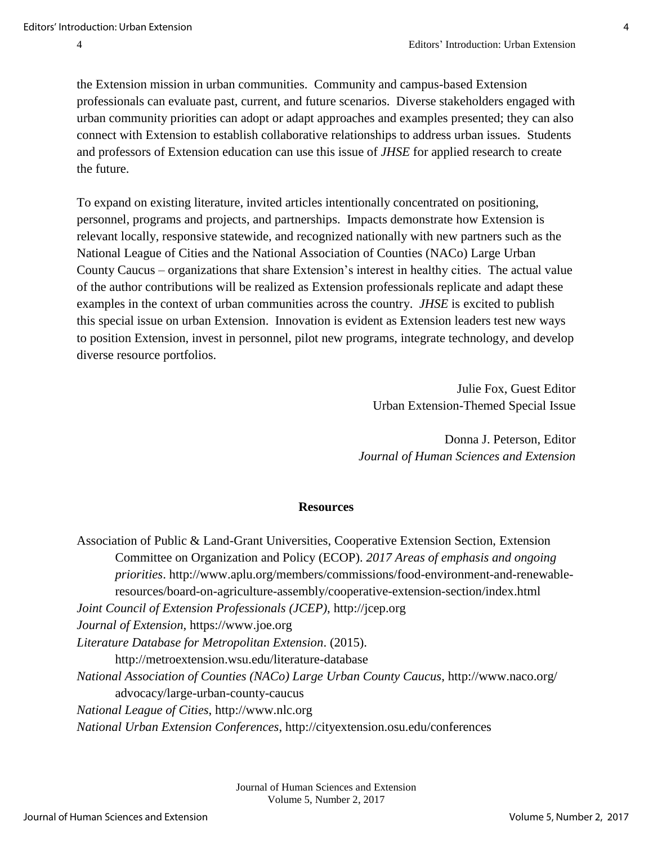the Extension mission in urban communities. Community and campus-based Extension professionals can evaluate past, current, and future scenarios. Diverse stakeholders engaged with urban community priorities can adopt or adapt approaches and examples presented; they can also connect with Extension to establish collaborative relationships to address urban issues. Students and professors of Extension education can use this issue of *JHSE* for applied research to create the future.

To expand on existing literature, invited articles intentionally concentrated on positioning, personnel, programs and projects, and partnerships. Impacts demonstrate how Extension is relevant locally, responsive statewide, and recognized nationally with new partners such as the National League of Cities and the National Association of Counties (NACo) Large Urban County Caucus – organizations that share Extension's interest in healthy cities. The actual value of the author contributions will be realized as Extension professionals replicate and adapt these examples in the context of urban communities across the country. *JHSE* is excited to publish this special issue on urban Extension. Innovation is evident as Extension leaders test new ways to position Extension, invest in personnel, pilot new programs, integrate technology, and develop diverse resource portfolios.

> Julie Fox, Guest Editor Urban Extension-Themed Special Issue

Donna J. Peterson, Editor *Journal of Human Sciences and Extension* 

### **Resources**

Association of Public & Land-Grant Universities, Cooperative Extension Section, Extension Committee on Organization and Policy (ECOP). *2017 Areas of emphasis and ongoing priorities*. http://www.aplu.org/members/commissions/food-environment-and-renewableresources/board-on-agriculture-assembly/cooperative-extension-section/index.html *Joint Council of Extension Professionals (JCEP)*, http://jcep.org *Journal of Extension*, https://www.joe.org *Literature Database for Metropolitan Extension*. (2015). http://metroextension.wsu.edu/literature-database *National Association of Counties (NACo) Large Urban County Caucus*, http://www.naco.org/ advocacy/large-urban-county-caucus *National League of Cities*, http://www.nlc.org *National Urban Extension Conferences*, http://cityextension.osu.edu/conferences

> Journal of Human Sciences and Extension Volume 5, Number 2, 2017